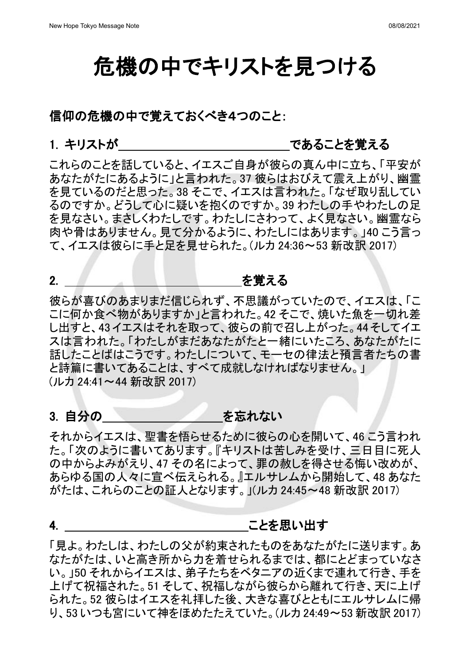# 危機の中でキリストを見つける

#### 信仰の危機の中で覚えておくべき4つのこと:

### 1. キリストが しゅうしゃ しゅうしゃ であることを覚える

これらのことを話していると、イエスご自身が彼らの真ん中に立ち、「平安が あなたがたにあるように」と言われた。37 彼らはおびえて震え上がり、幽霊 を見ているのだと思った。38 そこで、イエスは言われた。「なぜ取り乱してい るのですか。どうして心に疑いを抱くのですか。39 わたしの手やわたしの足 を見なさい。まさしくわたしです。わたしにさわって、よく見なさい。幽霊なら 肉や骨はありません。見て分かるように、わたしにはあります。」40 こう言っ て、イエスは彼らに手と足を見せられた。(ルカ 24:36~53 新改訳 2017)

### 2. を覚える

彼らが喜びのあまりまだ信じられず、不思議がっていたので、イエスは、「こ こに何か食べ物がありますか」と言われた。42 そこで、焼いた魚を一切れ差 し出すと、43 イエスはそれを取って、彼らの前で召し上がった。44そしてイエ スは言われた。「わたしがまだあなたがたと一緒にいたころ、あなたがたに 話したことばはこうです。わたしについて、モーセの律法と預言者たちの書 と詩篇に書いてあることは、すべて成就しなければなりません。」 (ルカ 24:41~44 新改訳 2017)

### 3. 自分の そんじ あたない あたない

それからイエスは、聖書を悟らせるために彼らの心を開いて、46 こう言われ た。「次のように書いてあります。『キリストは苦しみを受け、三日目に死人 の中からよみがえり、47 その名によって、罪の赦しを得させる悔い改めが、 あらゆる国の人々に宣べ伝えられる。』エルサレムから開始して、48 あなた がたは、これらのことの証人となります。」(ルカ 24:45~48 新改訳 2017)

### 4. キャンプ インター エンジャン ことを思い出す

「見よ。わたしは、わたしの父が約束されたものをあなたがたに送ります。あ なたがたは、いと高き所から力を着せられるまでは、都にとどまっていなさ い。」50 それからイエスは、弟子たちをベタニアの近くまで連れて行き、手を 上げて祝福された。51 そして、祝福しながら彼らから離れて行き、天に上げ られた。52 彼らはイエスを礼拝した後、大きな喜びとともにエルサレムに帰 り、53 いつも宮にいて神をほめたたえていた。(ルカ 24:49~53 新改訳 2017)